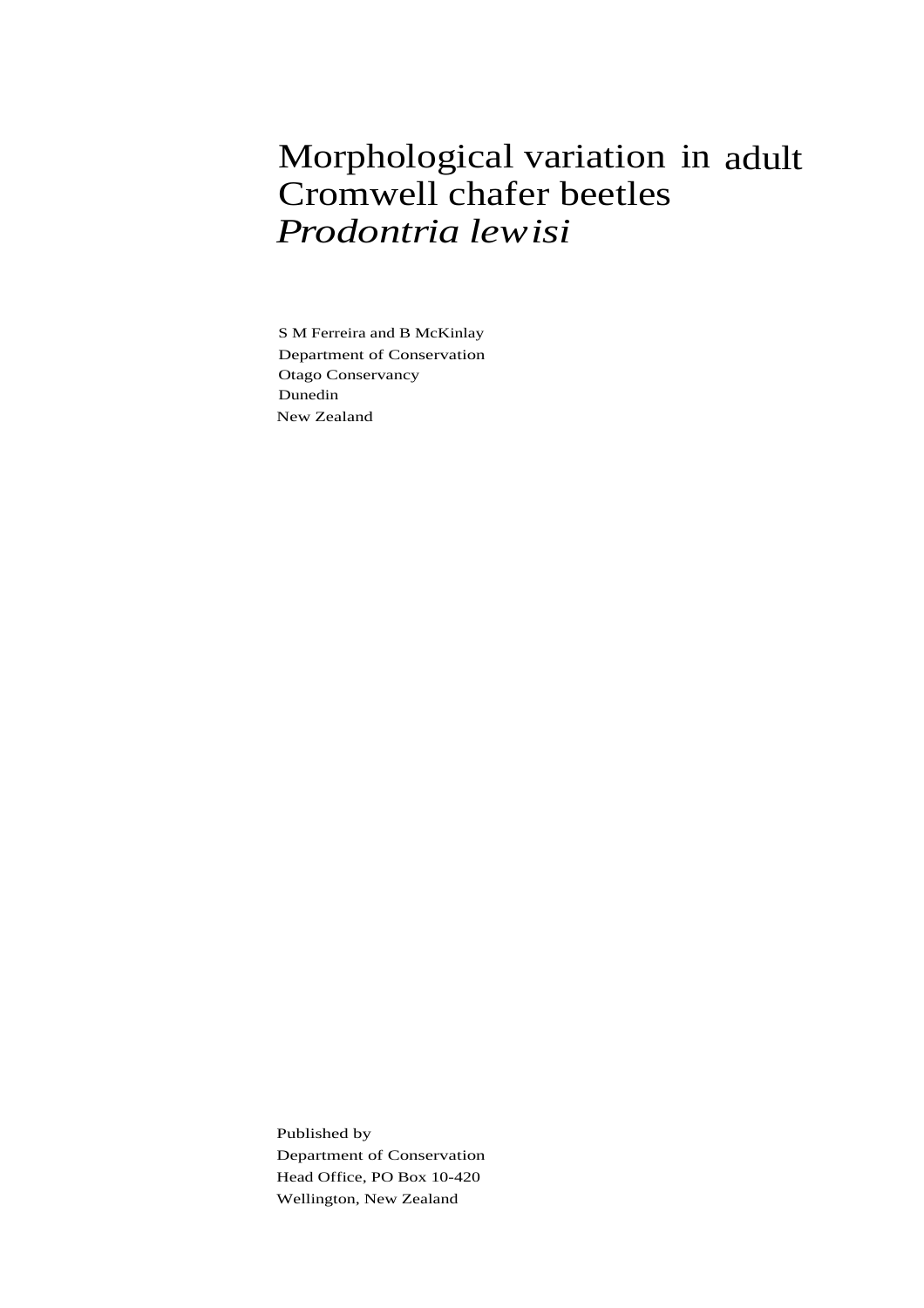# Morphological variation in adult Cromwell chafer beetles *Prodontria lewisi*

S M Ferreira and B McKinlay Department of Conservation Otago Conservancy Dunedin New Zealand

Published by Department of Conservation Head Office, PO Box 10-420 Wellington, New Zealand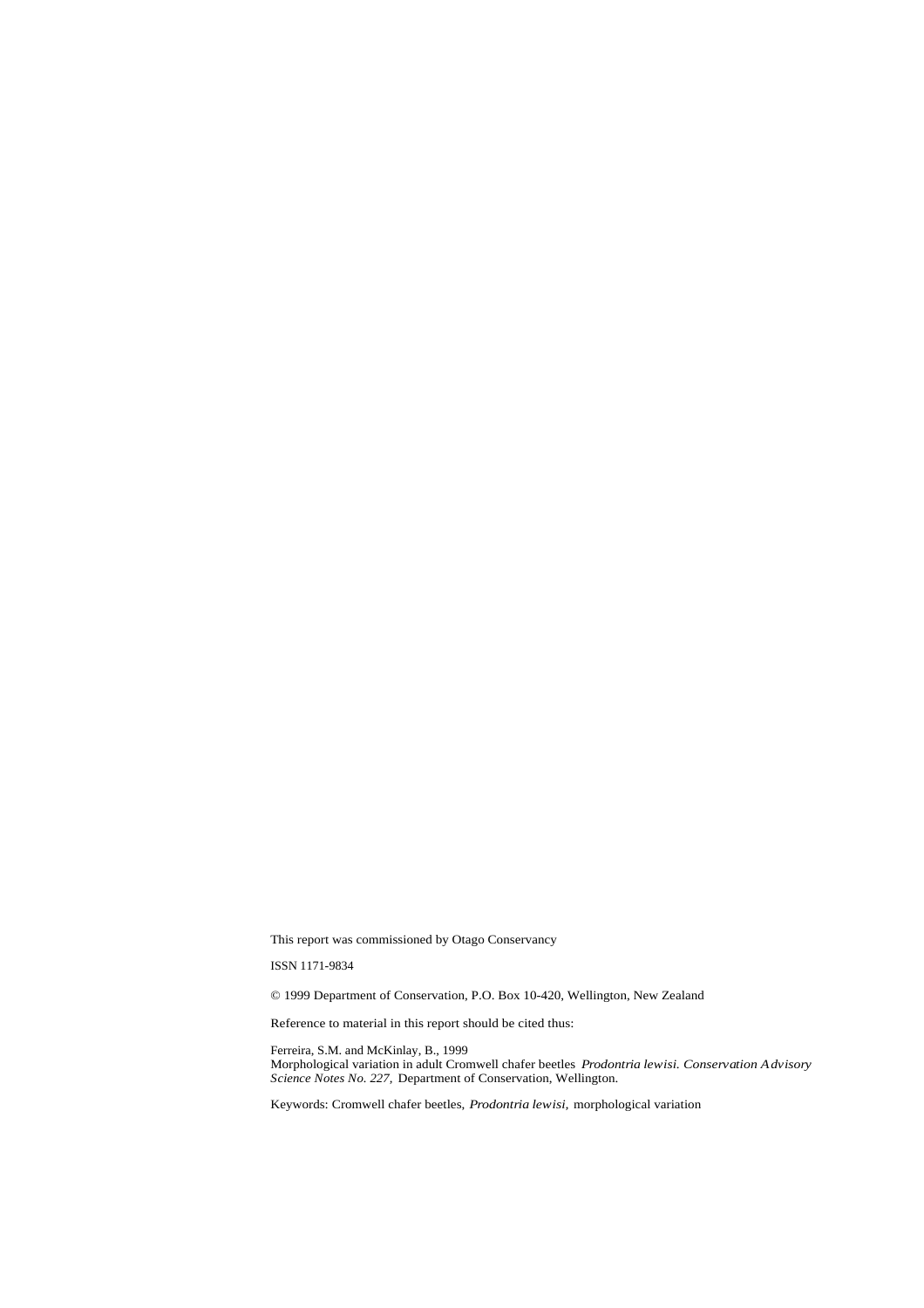This report was commissioned by Otago Conservancy

ISSN 1171-9834

© 1999 Department of Conservation, P.O. Box 10-420, Wellington, New Zealand

Reference to material in this report should be cited thus:

Ferreira, S.M. and McKinlay, B., 1999 Morphological variation in adult Cromwell chafer beetles *Prodontria lewisi. Conservation Advisory Science Notes No. 227,* Department of Conservation, Wellington.

Keywords: Cromwell chafer beetles, *Prodontria lewisi,* morphological variation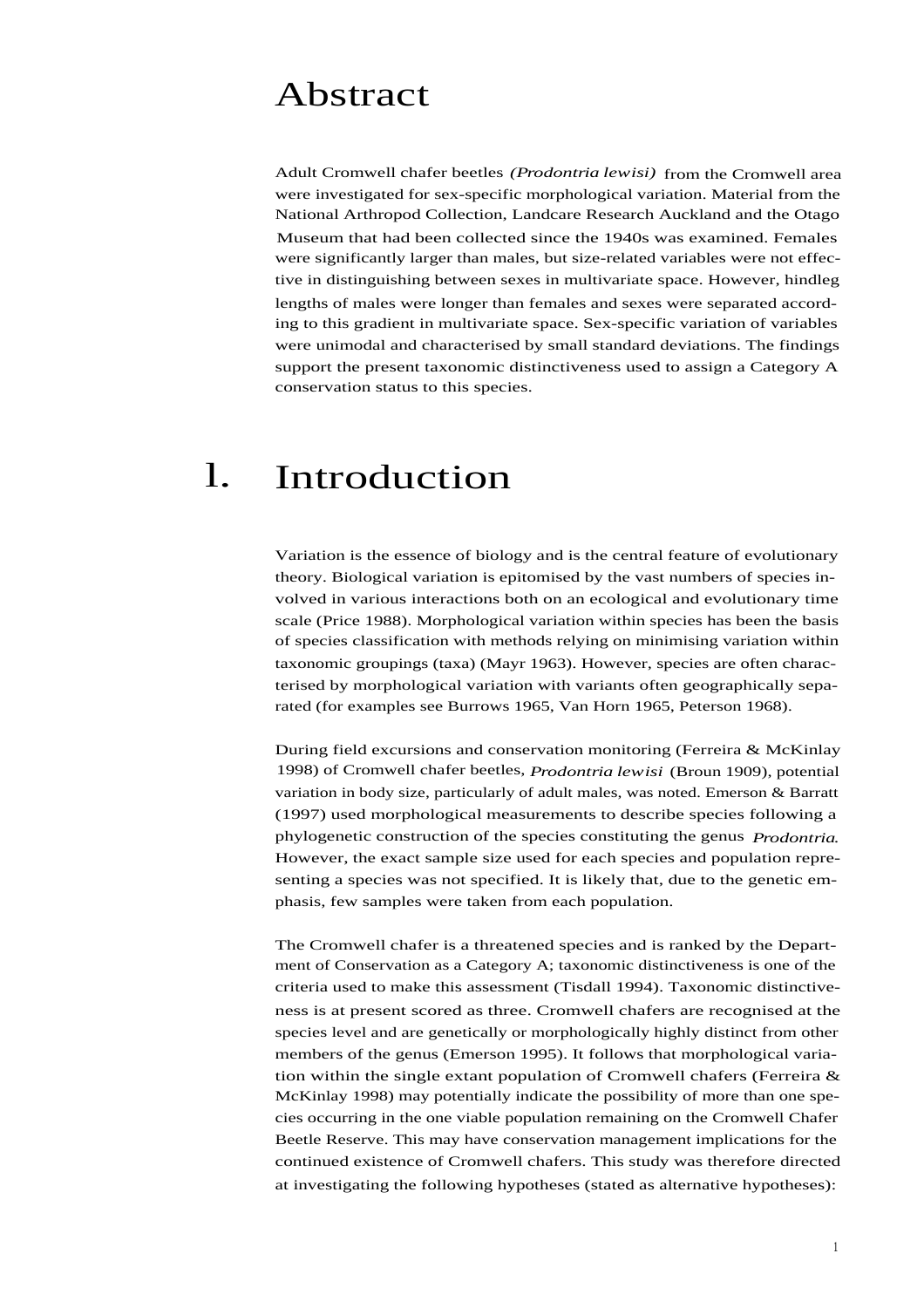#### Abstract

Adult Cromwell chafer beetles *(Prodontria lewisi)* from the Cromwell area were investigated for sex-specific morphological variation. Material from the National Arthropod Collection, Landcare Research Auckland and the Otago Museum that had been collected since the 1940s was examined. Females were significantly larger than males, but size-related variables were not effective in distinguishing between sexes in multivariate space. However, hindleg lengths of males were longer than females and sexes were separated according to this gradient in multivariate space. Sex-specific variation of variables were unimodal and characterised by small standard deviations. The findings support the present taxonomic distinctiveness used to assign a Category A conservation status to this species.

#### l. Introduction

Variation is the essence of biology and is the central feature of evolutionary theory. Biological variation is epitomised by the vast numbers of species involved in various interactions both on an ecological and evolutionary time scale (Price 1988). Morphological variation within species has been the basis of species classification with methods relying on minimising variation within taxonomic groupings (taxa) (Mayr 1963). However, species are often characterised by morphological variation with variants often geographically separated (for examples see Burrows 1965, Van Horn 1965, Peterson 1968).

During field excursions and conservation monitoring (Ferreira & McKinlay 1998) of Cromwell chafer beetles, *Prodontria lewisi* (Broun 1909), potential variation in body size, particularly of adult males, was noted. Emerson & Barratt (1997) used morphological measurements to describe species following a phylogenetic construction of the species constituting the genus *Prodontria.* However, the exact sample size used for each species and population representing a species was not specified. It is likely that, due to the genetic emphasis, few samples were taken from each population.

The Cromwell chafer is a threatened species and is ranked by the Department of Conservation as a Category A; taxonomic distinctiveness is one of the criteria used to make this assessment (Tisdall 1994). Taxonomic distinctiveness is at present scored as three. Cromwell chafers are recognised at the species level and are genetically or morphologically highly distinct from other members of the genus (Emerson 1995). It follows that morphological variation within the single extant population of Cromwell chafers (Ferreira  $\&$ McKinlay 1998) may potentially indicate the possibility of more than one species occurring in the one viable population remaining on the Cromwell Chafer Beetle Reserve. This may have conservation management implications for the continued existence of Cromwell chafers. This study was therefore directed at investigating the following hypotheses (stated as alternative hypotheses):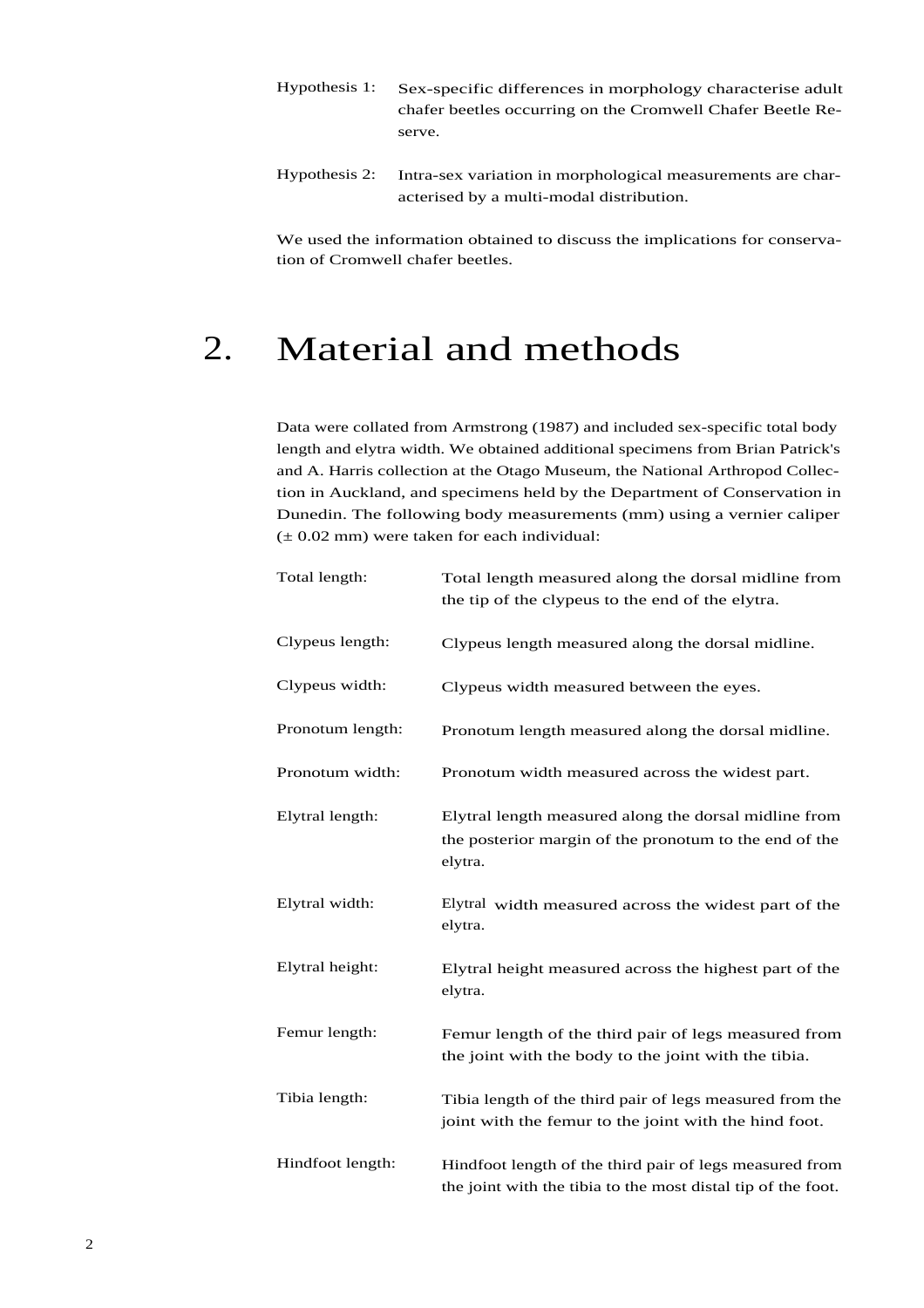- Hypothesis 1: Sex-specific differences in morphology characterise adult chafer beetles occurring on the Cromwell Chafer Beetle Reserve.
- Hypothesis 2: Intra-sex variation in morphological measurements are characterised by a multi-modal distribution.

We used the information obtained to discuss the implications for conservation of Cromwell chafer beetles.

## 2. Material and methods

Data were collated from Armstrong (1987) and included sex-specific total body length and elytra width. We obtained additional specimens from Brian Patrick's and A. Harris collection at the Otago Museum, the National Arthropod Collection in Auckland, and specimens held by the Department of Conservation in Dunedin. The following body measurements (mm) using a vernier caliper  $(\pm 0.02 \text{ mm})$  were taken for each individual:

| Total length:    | Total length measured along the dorsal midline from<br>the tip of the clypeus to the end of the elytra.                    |  |  |
|------------------|----------------------------------------------------------------------------------------------------------------------------|--|--|
| Clypeus length:  | Clypeus length measured along the dorsal midline.                                                                          |  |  |
| Clypeus width:   | Clypeus width measured between the eyes.                                                                                   |  |  |
| Pronotum length: | Pronotum length measured along the dorsal midline.                                                                         |  |  |
| Pronotum width:  | Pronotum width measured across the widest part.                                                                            |  |  |
| Elytral length:  | Elytral length measured along the dorsal midline from<br>the posterior margin of the pronotum to the end of the<br>elytra. |  |  |
| Elytral width:   | Elytral width measured across the widest part of the<br>elytra.                                                            |  |  |
| Elytral height:  | Elytral height measured across the highest part of the<br>elytra.                                                          |  |  |
| Femur length:    | Femur length of the third pair of legs measured from<br>the joint with the body to the joint with the tibia.               |  |  |
| Tibia length:    | Tibia length of the third pair of legs measured from the<br>joint with the femur to the joint with the hind foot.          |  |  |
| Hindfoot length: | Hindfoot length of the third pair of legs measured from<br>the joint with the tibia to the most distal tip of the foot.    |  |  |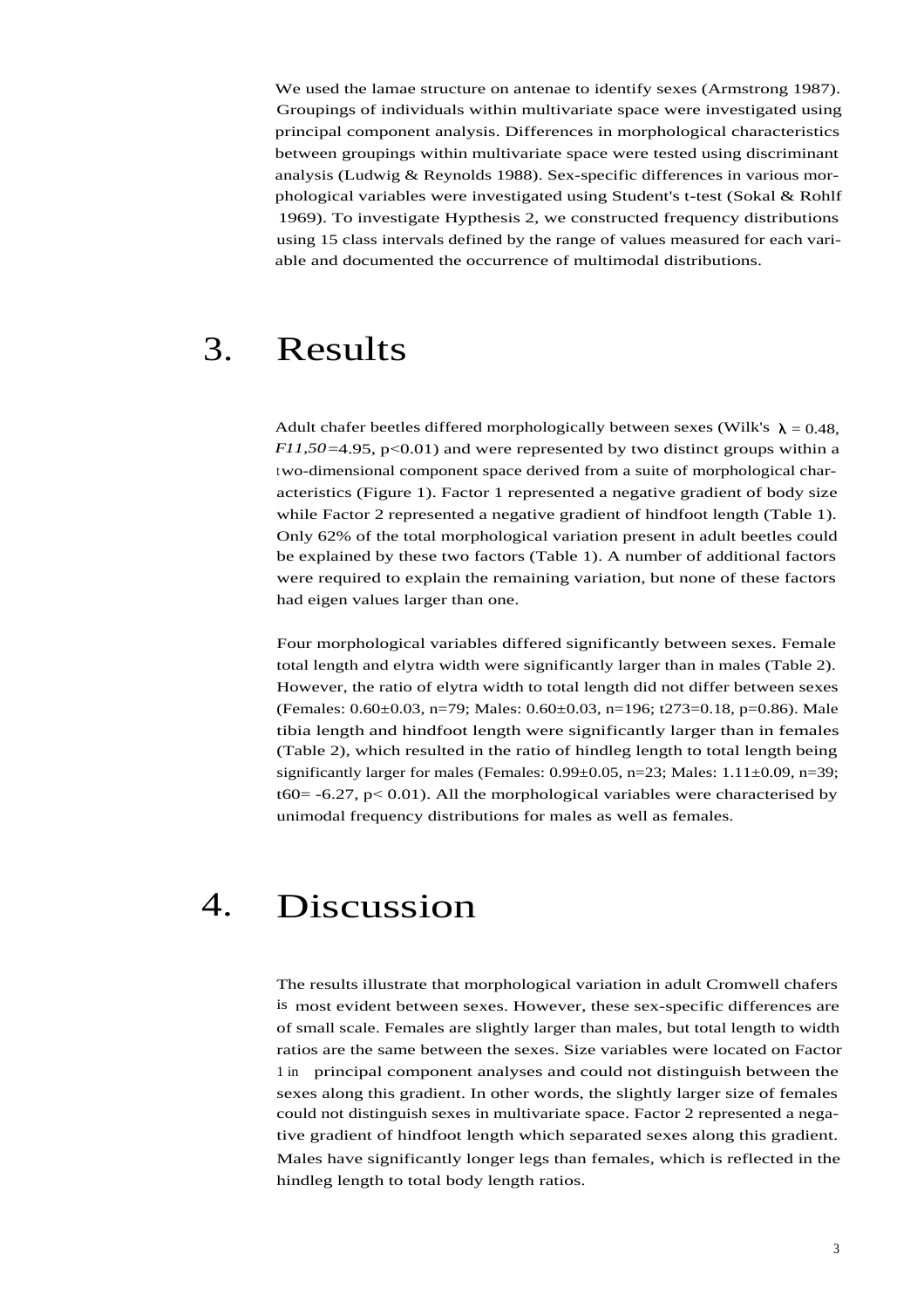We used the lamae structure on antenae to identify sexes (Armstrong 1987). Groupings of individuals within multivariate space were investigated using principal component analysis. Differences in morphological characteristics between groupings within multivariate space were tested using discriminant analysis (Ludwig & Reynolds 1988). Sex-specific differences in various morphological variables were investigated using Student's t-test (Sokal & Rohlf 1969). To investigate Hypthesis 2, we constructed frequency distributions using 15 class intervals defined by the range of values measured for each variable and documented the occurrence of multimodal distributions.

#### 3. Results

Adult chafer beetles differed morphologically between sexes (Wilk's  $\lambda = 0.48$ , *F11,50*=4.95, p<0.01) and were represented by two distinct groups within a two-dimensional component space derived from a suite of morphological characteristics (Figure 1). Factor 1 represented a negative gradient of body size while Factor 2 represented a negative gradient of hindfoot length (Table 1). Only 62% of the total morphological variation present in adult beetles could be explained by these two factors (Table 1). A number of additional factors were required to explain the remaining variation, but none of these factors had eigen values larger than one.

Four morphological variables differed significantly between sexes. Female total length and elytra width were significantly larger than in males (Table 2). However, the ratio of elytra width to total length did not differ between sexes (Females: 0.60±0.03, n=79; Males: 0.60±0.03, n=196; t273=0.18, p=0.86). Male tibia length and hindfoot length were significantly larger than in females (Table 2), which resulted in the ratio of hindleg length to total length being significantly larger for males (Females:  $0.99 \pm 0.05$ , n=23; Males:  $1.11 \pm 0.09$ , n=39; t60 = -6.27,  $p$  < 0.01). All the morphological variables were characterised by unimodal frequency distributions for males as well as females.

### 4. Discussion

The results illustrate that morphological variation in adult Cromwell chafers is most evident between sexes. However, these sex-specific differences are of small scale. Females are slightly larger than males, but total length to width ratios are the same between the sexes. Size variables were located on Factor 1 in principal component analyses and could not distinguish between the sexes along this gradient. In other words, the slightly larger size of females could not distinguish sexes in multivariate space. Factor 2 represented a negative gradient of hindfoot length which separated sexes along this gradient. Males have significantly longer legs than females, which is reflected in the hindleg length to total body length ratios.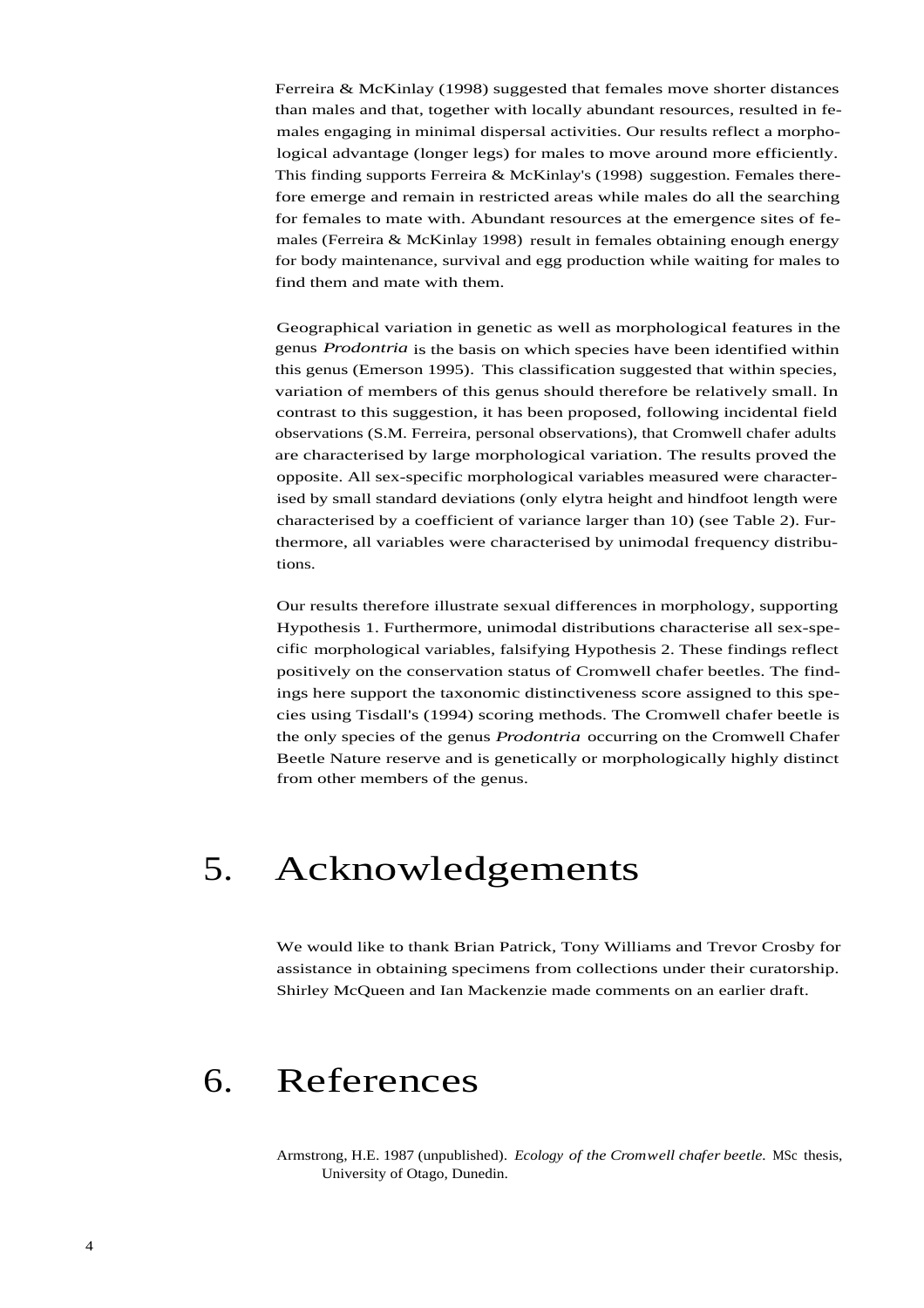Ferreira & McKinlay (1998) suggested that females move shorter distances than males and that, together with locally abundant resources, resulted in females engaging in minimal dispersal activities. Our results reflect a morphological advantage (longer legs) for males to move around more efficiently. This finding supports Ferreira & McKinlay's (1998) suggestion. Females therefore emerge and remain in restricted areas while males do all the searching for females to mate with. Abundant resources at the emergence sites of females (Ferreira & McKinlay 1998) result in females obtaining enough energy for body maintenance, survival and egg production while waiting for males to find them and mate with them.

Geographical variation in genetic as well as morphological features in the genus *Prodontria* is the basis on which species have been identified within this genus (Emerson 1995). This classification suggested that within species, variation of members of this genus should therefore be relatively small. In contrast to this suggestion, it has been proposed, following incidental field observations (S.M. Ferreira, personal observations), that Cromwell chafer adults are characterised by large morphological variation. The results proved the opposite. All sex-specific morphological variables measured were characterised by small standard deviations (only elytra height and hindfoot length were characterised by a coefficient of variance larger than 10) (see Table 2). Furthermore, all variables were characterised by unimodal frequency distributions.

Our results therefore illustrate sexual differences in morphology, supporting Hypothesis 1. Furthermore, unimodal distributions characterise all sex-specific morphological variables, falsifying Hypothesis 2. These findings reflect positively on the conservation status of Cromwell chafer beetles. The findings here support the taxonomic distinctiveness score assigned to this species using Tisdall's (1994) scoring methods. The Cromwell chafer beetle is the only species of the genus *Prodontria* occurring on the Cromwell Chafer Beetle Nature reserve and is genetically or morphologically highly distinct from other members of the genus.

## 5. Acknowledgements

We would like to thank Brian Patrick, Tony Williams and Trevor Crosby for assistance in obtaining specimens from collections under their curatorship. Shirley McQueen and Ian Mackenzie made comments on an earlier draft.

### 6. References

Armstrong, H.E. 1987 (unpublished). *Ecology of the Cromwell chafer beetle.* MSc thesis, University of Otago, Dunedin.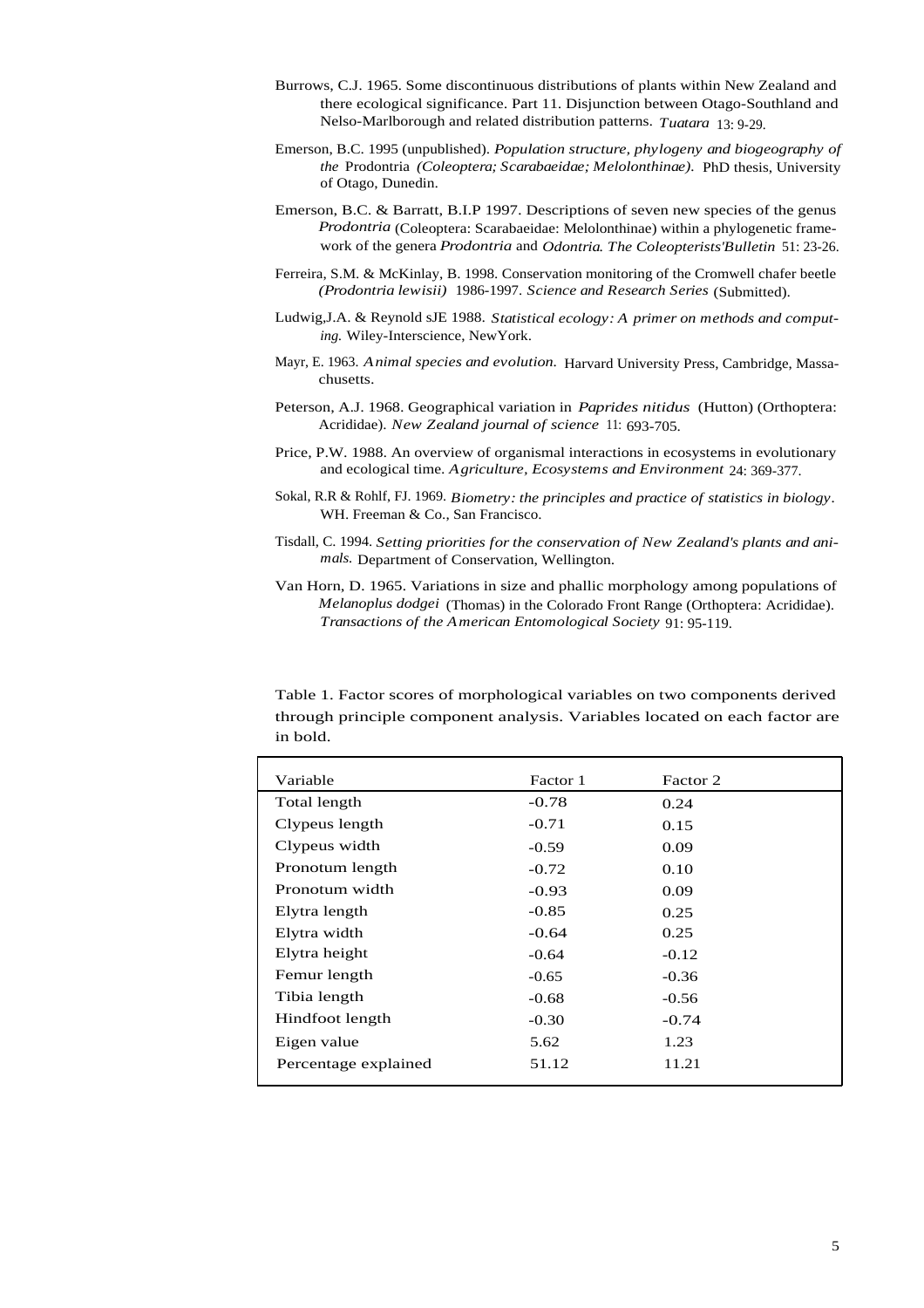- Burrows, C.J. 1965. Some discontinuous distributions of plants within New Zealand and there ecological significance. Part 11. Disjunction between Otago-Southland and Nelso-Marlborough and related distribution patterns. *Tuatara* 13: 9-29.
- Emerson, B.C. 1995 (unpublished). *Population structure, phylogeny and biogeography of the* Prodontria *(Coleoptera; Scarabaeidae; Melolonthinae).* PhD thesis, University of Otago, Dunedin.
- Emerson, B.C. & Barratt, B.I.P 1997. Descriptions of seven new species of the genus *Prodontria* (Coleoptera: Scarabaeidae: Melolonthinae) within a phylogenetic framework of the genera *Prodontria* and *Odontria. The Coleopterists'Bulletin* 51: 23-26.
- Ferreira, S.M. & McKinlay, B. 1998. Conservation monitoring of the Cromwell chafer beetle *(Prodontria lewisii)* 1986-1997. *Science and Research Series* (Submitted).
- Ludwig,J.A. & Reynold sJE 1988. *Statistical ecology: A primer on methods and computing.* Wiley-Interscience, NewYork.
- Mayr, E. 1963. *Animal species and evolution.* Harvard University Press, Cambridge, Massachusetts.
- Peterson, A.J. 1968. Geographical variation in *Paprides nitidus* (Hutton) (Orthoptera: Acrididae). *New Zealand journal of science* 11: 693-705.
- Price, P.W. 1988. An overview of organismal interactions in ecosystems in evolutionary and ecological time. *Agriculture, Ecosystems and Environment* 24: 369-377.
- Sokal, R.R & Rohlf, FJ. 1969. *Biometry: the principles and practice of statistics in biology.* WH. Freeman & Co., San Francisco.
- Tisdall, C. 1994. *Setting priorities for the conservation of New Zealand's plants and animals.* Department of Conservation, Wellington.
- Van Horn, D. 1965. Variations in size and phallic morphology among populations of *Melanoplus dodgei* (Thomas) in the Colorado Front Range (Orthoptera: Acrididae). *Transactions of the American Entomological Society* 91: 95-119.

Table 1. Factor scores of morphological variables on two components derived through principle component analysis. Variables located on each factor are in bold.

| Variable             | Factor 1 | Factor 2 |  |
|----------------------|----------|----------|--|
| Total length         | $-0.78$  | 0.24     |  |
| Clypeus length       | $-0.71$  | 0.15     |  |
| Clypeus width        | $-0.59$  | 0.09     |  |
| Pronotum length      | $-0.72$  | 0.10     |  |
| Pronotum width       | $-0.93$  | 0.09     |  |
| Elytra length        | $-0.85$  | 0.25     |  |
| Elytra width         | $-0.64$  | 0.25     |  |
| Elytra height        | $-0.64$  | $-0.12$  |  |
| Femur length         | $-0.65$  | $-0.36$  |  |
| Tibia length         | $-0.68$  | $-0.56$  |  |
| Hindfoot length      | $-0.30$  | $-0.74$  |  |
| Eigen value          | 5.62     | 1.23     |  |
| Percentage explained | 51.12    | 11.21    |  |